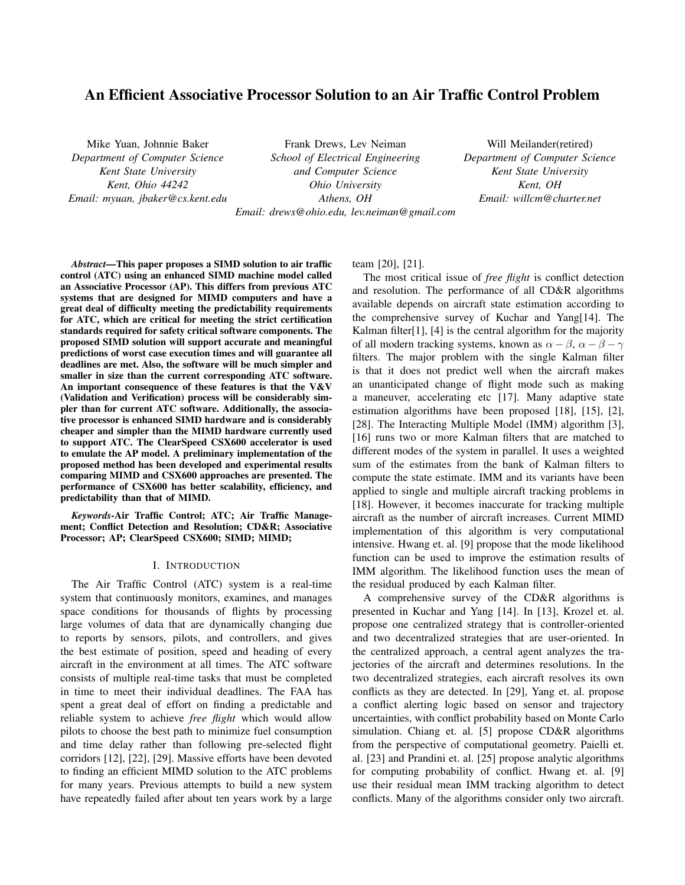# **An Efficient Associative Processor Solution to an Air Traffic Control Problem**

Mike Yuan, Johnnie Baker *Department of Computer Science Kent State University Kent, Ohio 44242 Email: myuan, jbaker@cs.kent.edu*

Frank Drews, Lev Neiman *School of Electrical Engineering and Computer Science Ohio University Athens, OH Email: drews@ohio.edu, lev.neiman@gmail.com*

Will Meilander(retired) *Department of Computer Science Kent State University Kent, OH Email: willcm@charter.net*

*Abstract***—This paper proposes a SIMD solution to air traffic control (ATC) using an enhanced SIMD machine model called an Associative Processor (AP). This differs from previous ATC systems that are designed for MIMD computers and have a great deal of difficulty meeting the predictability requirements for ATC, which are critical for meeting the strict certification standards required for safety critical software components. The proposed SIMD solution will support accurate and meaningful predictions of worst case execution times and will guarantee all deadlines are met. Also, the software will be much simpler and smaller in size than the current corresponding ATC software. An important consequence of these features is that the V&V (Validation and Verification) process will be considerably simpler than for current ATC software. Additionally, the associative processor is enhanced SIMD hardware and is considerably cheaper and simpler than the MIMD hardware currently used to support ATC. The ClearSpeed CSX600 accelerator is used to emulate the AP model. A preliminary implementation of the proposed method has been developed and experimental results comparing MIMD and CSX600 approaches are presented. The performance of CSX600 has better scalability, efficiency, and predictability than that of MIMD.**

*Keywords***-Air Traffic Control; ATC; Air Traffic Management; Conflict Detection and Resolution; CD&R; Associative Processor; AP; ClearSpeed CSX600; SIMD; MIMD;**

### I. INTRODUCTION

The Air Traffic Control (ATC) system is a real-time system that continuously monitors, examines, and manages space conditions for thousands of flights by processing large volumes of data that are dynamically changing due to reports by sensors, pilots, and controllers, and gives the best estimate of position, speed and heading of every aircraft in the environment at all times. The ATC software consists of multiple real-time tasks that must be completed in time to meet their individual deadlines. The FAA has spent a great deal of effort on finding a predictable and reliable system to achieve *free flight* which would allow pilots to choose the best path to minimize fuel consumption and time delay rather than following pre-selected flight corridors [12], [22], [29]. Massive efforts have been devoted to finding an efficient MIMD solution to the ATC problems for many years. Previous attempts to build a new system have repeatedly failed after about ten years work by a large team [20], [21].

The most critical issue of *free flight* is conflict detection and resolution. The performance of all CD&R algorithms available depends on aircraft state estimation according to the comprehensive survey of Kuchar and Yang[14]. The Kalman filter[1], [4] is the central algorithm for the majority of all modern tracking systems, known as  $\alpha - \beta$ ,  $\alpha - \beta - \gamma$ filters. The major problem with the single Kalman filter is that it does not predict well when the aircraft makes an unanticipated change of flight mode such as making a maneuver, accelerating etc [17]. Many adaptive state estimation algorithms have been proposed [18], [15], [2], [28]. The Interacting Multiple Model (IMM) algorithm [3], [16] runs two or more Kalman filters that are matched to different modes of the system in parallel. It uses a weighted sum of the estimates from the bank of Kalman filters to compute the state estimate. IMM and its variants have been applied to single and multiple aircraft tracking problems in [18]. However, it becomes inaccurate for tracking multiple aircraft as the number of aircraft increases. Current MIMD implementation of this algorithm is very computational intensive. Hwang et. al. [9] propose that the mode likelihood function can be used to improve the estimation results of IMM algorithm. The likelihood function uses the mean of the residual produced by each Kalman filter.

A comprehensive survey of the CD&R algorithms is presented in Kuchar and Yang [14]. In [13], Krozel et. al. propose one centralized strategy that is controller-oriented and two decentralized strategies that are user-oriented. In the centralized approach, a central agent analyzes the trajectories of the aircraft and determines resolutions. In the two decentralized strategies, each aircraft resolves its own conflicts as they are detected. In [29], Yang et. al. propose a conflict alerting logic based on sensor and trajectory uncertainties, with conflict probability based on Monte Carlo simulation. Chiang et. al. [5] propose CD&R algorithms from the perspective of computational geometry. Paielli et. al. [23] and Prandini et. al. [25] propose analytic algorithms for computing probability of conflict. Hwang et. al. [9] use their residual mean IMM tracking algorithm to detect conflicts. Many of the algorithms consider only two aircraft.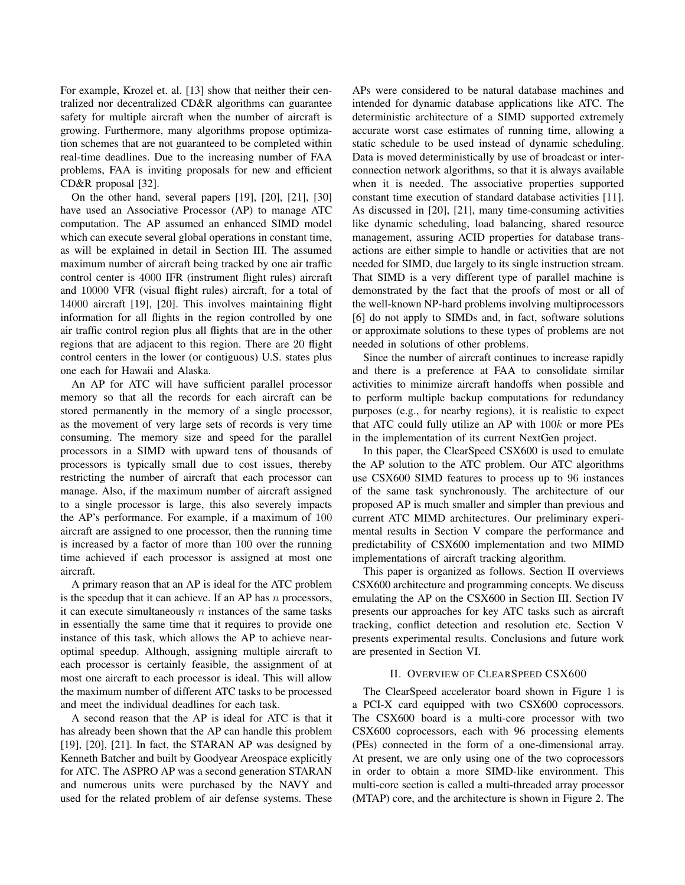For example, Krozel et. al. [13] show that neither their centralized nor decentralized CD&R algorithms can guarantee safety for multiple aircraft when the number of aircraft is growing. Furthermore, many algorithms propose optimization schemes that are not guaranteed to be completed within real-time deadlines. Due to the increasing number of FAA problems, FAA is inviting proposals for new and efficient CD&R proposal [32].

On the other hand, several papers [19], [20], [21], [30] have used an Associative Processor (AP) to manage ATC computation. The AP assumed an enhanced SIMD model which can execute several global operations in constant time, as will be explained in detail in Section III. The assumed maximum number of aircraft being tracked by one air traffic control center is 4000 IFR (instrument flight rules) aircraft and 10000 VFR (visual flight rules) aircraft, for a total of 14000 aircraft [19], [20]. This involves maintaining flight information for all flights in the region controlled by one air traffic control region plus all flights that are in the other regions that are adjacent to this region. There are 20 flight control centers in the lower (or contiguous) U.S. states plus one each for Hawaii and Alaska.

An AP for ATC will have sufficient parallel processor memory so that all the records for each aircraft can be stored permanently in the memory of a single processor, as the movement of very large sets of records is very time consuming. The memory size and speed for the parallel processors in a SIMD with upward tens of thousands of processors is typically small due to cost issues, thereby restricting the number of aircraft that each processor can manage. Also, if the maximum number of aircraft assigned to a single processor is large, this also severely impacts the AP's performance. For example, if a maximum of 100 aircraft are assigned to one processor, then the running time is increased by a factor of more than 100 over the running time achieved if each processor is assigned at most one aircraft.

A primary reason that an AP is ideal for the ATC problem is the speedup that it can achieve. If an AP has  $n$  processors, it can execute simultaneously  $n$  instances of the same tasks in essentially the same time that it requires to provide one instance of this task, which allows the AP to achieve nearoptimal speedup. Although, assigning multiple aircraft to each processor is certainly feasible, the assignment of at most one aircraft to each processor is ideal. This will allow the maximum number of different ATC tasks to be processed and meet the individual deadlines for each task.

A second reason that the AP is ideal for ATC is that it has already been shown that the AP can handle this problem  $[19]$ ,  $[20]$ ,  $[21]$ . In fact, the STARAN AP was designed by Kenneth Batcher and built by Goodyear Areospace explicitly for ATC. The ASPRO AP was a second generation STARAN and numerous units were purchased by the NAVY and used for the related problem of air defense systems. These APs were considered to be natural database machines and intended for dynamic database applications like ATC. The deterministic architecture of a SIMD supported extremely accurate worst case estimates of running time, allowing a static schedule to be used instead of dynamic scheduling. Data is moved deterministically by use of broadcast or interconnection network algorithms, so that it is always available when it is needed. The associative properties supported constant time execution of standard database activities [11]. As discussed in [20], [21], many time-consuming activities like dynamic scheduling, load balancing, shared resource management, assuring ACID properties for database transactions are either simple to handle or activities that are not needed for SIMD, due largely to its single instruction stream. That SIMD is a very different type of parallel machine is demonstrated by the fact that the proofs of most or all of the well-known NP-hard problems involving multiprocessors [6] do not apply to SIMDs and, in fact, software solutions or approximate solutions to these types of problems are not needed in solutions of other problems.

Since the number of aircraft continues to increase rapidly and there is a preference at FAA to consolidate similar activities to minimize aircraft handoffs when possible and to perform multiple backup computations for redundancy purposes (e.g., for nearby regions), it is realistic to expect that ATC could fully utilize an AP with  $100k$  or more PEs in the implementation of its current NextGen project.

In this paper, the ClearSpeed CSX600 is used to emulate the AP solution to the ATC problem. Our ATC algorithms use CSX600 SIMD features to process up to 96 instances of the same task synchronously. The architecture of our proposed AP is much smaller and simpler than previous and current ATC MIMD architectures. Our preliminary experimental results in Section V compare the performance and predictability of CSX600 implementation and two MIMD implementations of aircraft tracking algorithm.

This paper is organized as follows. Section II overviews CSX600 architecture and programming concepts. We discuss emulating the AP on the CSX600 in Section III. Section IV presents our approaches for key ATC tasks such as aircraft tracking, conflict detection and resolution etc. Section V presents experimental results. Conclusions and future work are presented in Section VI.

### II. OVERVIEW OF CLEARSPEED CSX600

The ClearSpeed accelerator board shown in Figure 1 is a PCI-X card equipped with two CSX600 coprocessors. The CSX600 board is a multi-core processor with two CSX600 coprocessors, each with 96 processing elements (PEs) connected in the form of a one-dimensional array. At present, we are only using one of the two coprocessors in order to obtain a more SIMD-like environment. This multi-core section is called a multi-threaded array processor (MTAP) core, and the architecture is shown in Figure 2. The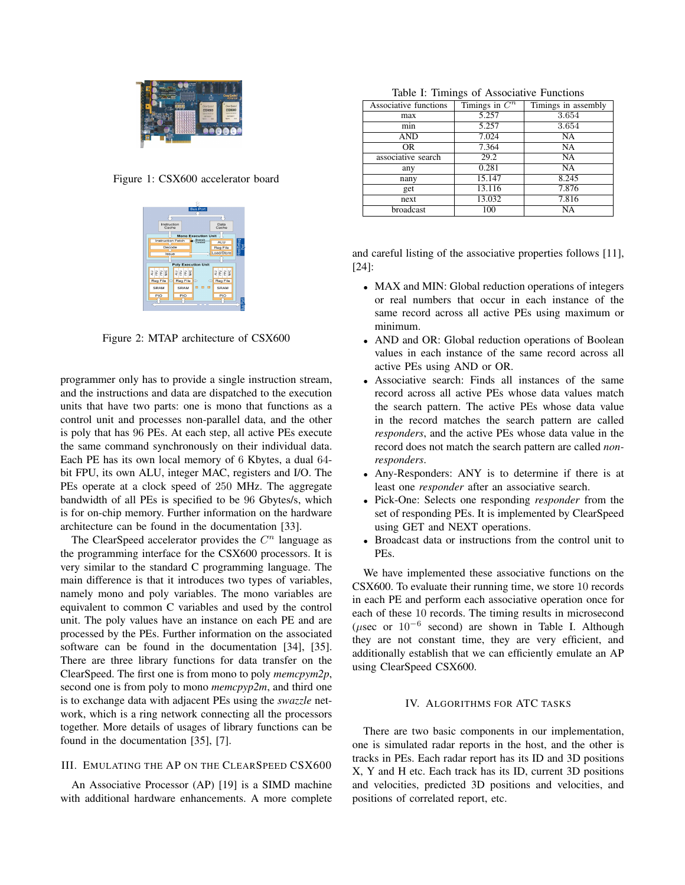

Figure 1: CSX600 accelerator board

| <b>Bus Port</b>            |          |                   |               |                 |  |
|----------------------------|----------|-------------------|---------------|-----------------|--|
|                            |          |                   |               |                 |  |
| Instruction<br>Cache       |          |                   | Data<br>Cache |                 |  |
| <b>Mono Execution Unit</b> |          |                   |               |                 |  |
| <b>Instruction Fetch</b>   |          | Branch<br>Control | <b>ALU</b>    |                 |  |
| Decode                     |          |                   | Reg File      | tostiDe<br>Port |  |
| <b>Issue</b>               |          |                   | Load/Store    |                 |  |
|                            |          |                   |               |                 |  |
| <b>Poly Execution Unit</b> |          |                   |               |                 |  |
|                            |          |                   |               |                 |  |
| <b>BEES</b>                | 대리 대표    |                   | <b>BEER</b>   |                 |  |
| Reg File<br>٥N             | Reg File | k»<br>۰           | Reg File      |                 |  |
| SRAM                       | SRAM     | m                 | SRAM          |                 |  |
| PIO                        | PIO      |                   | PIO           |                 |  |
|                            |          |                   |               |                 |  |
| <b>Bus Port</b>            |          |                   |               |                 |  |
|                            |          |                   |               |                 |  |

Figure 2: MTAP architecture of CSX600

programmer only has to provide a single instruction stream, and the instructions and data are dispatched to the execution units that have two parts: one is mono that functions as a control unit and processes non-parallel data, and the other is poly that has 96 PEs. At each step, all active PEs execute the same command synchronously on their individual data. Each PE has its own local memory of 6 Kbytes, a dual 64 bit FPU, its own ALU, integer MAC, registers and I/O. The PEs operate at a clock speed of 250 MHz. The aggregate bandwidth of all PEs is specified to be 96 Gbytes/s, which is for on-chip memory. Further information on the hardware architecture can be found in the documentation [33].

The ClearSpeed accelerator provides the C*<sup>n</sup>* language as the programming interface for the CSX600 processors. It is very similar to the standard C programming language. The main difference is that it introduces two types of variables, namely mono and poly variables. The mono variables are equivalent to common C variables and used by the control unit. The poly values have an instance on each PE and are processed by the PEs. Further information on the associated software can be found in the documentation [34], [35]. There are three library functions for data transfer on the ClearSpeed. The first one is from mono to poly *memcpym2p*, second one is from poly to mono *memcpyp2m*, and third one is to exchange data with adjacent PEs using the *swazzle* network, which is a ring network connecting all the processors together. More details of usages of library functions can be found in the documentation [35], [7].

# III. EMULATING THE AP ON THE CLEARSPEED CSX600

An Associative Processor (AP) [19] is a SIMD machine with additional hardware enhancements. A more complete

Table I: Timings of Associative Functions

| Associative functions | Timings in $C^n$ | Timings in assembly |  |  |
|-----------------------|------------------|---------------------|--|--|
| max                   | 5.257            | 3.654               |  |  |
| min                   | 5.257            | 3.654               |  |  |
| AND                   | 7.024            | NA                  |  |  |
| <b>OR</b>             | 7.364            | NA                  |  |  |
| associative search    | 29.2             | NA                  |  |  |
| any                   | 0.281            | NA                  |  |  |
| nany                  | 15.147           | 8.245               |  |  |
| get                   | 13.116           | 7.876               |  |  |
| next                  | 13.032           | 7.816               |  |  |
| broadcast             | 100              | NA                  |  |  |

and careful listing of the associative properties follows [11], [24]:

- *•* MAX and MIN: Global reduction operations of integers or real numbers that occur in each instance of the same record across all active PEs using maximum or minimum.
- *•* AND and OR: Global reduction operations of Boolean values in each instance of the same record across all active PEs using AND or OR.
- *•* Associative search: Finds all instances of the same record across all active PEs whose data values match the search pattern. The active PEs whose data value in the record matches the search pattern are called *responders*, and the active PEs whose data value in the record does not match the search pattern are called *nonresponders*.
- *•* Any-Responders: ANY is to determine if there is at least one *responder* after an associative search.
- *•* Pick-One: Selects one responding *responder* from the set of responding PEs. It is implemented by ClearSpeed using GET and NEXT operations.
- *•* Broadcast data or instructions from the control unit to PEs.

We have implemented these associative functions on the CSX600. To evaluate their running time, we store 10 records in each PE and perform each associative operation once for each of these 10 records. The timing results in microsecond (μsec or 10*−*<sup>6</sup> second) are shown in Table I. Although they are not constant time, they are very efficient, and additionally establish that we can efficiently emulate an AP using ClearSpeed CSX600.

# IV. ALGORITHMS FOR ATC TASKS

There are two basic components in our implementation, one is simulated radar reports in the host, and the other is tracks in PEs. Each radar report has its ID and 3D positions X, Y and H etc. Each track has its ID, current 3D positions and velocities, predicted 3D positions and velocities, and positions of correlated report, etc.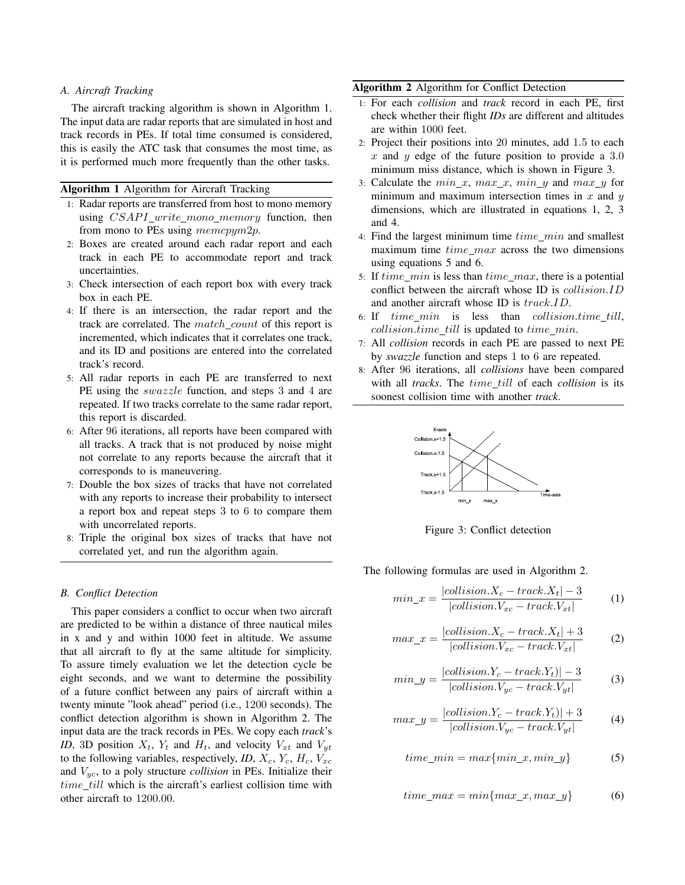## *A. Aircraft Tracking*

The aircraft tracking algorithm is shown in Algorithm 1. The input data are radar reports that are simulated in host and track records in PEs. If total time consumed is considered, this is easily the ATC task that consumes the most time, as it is performed much more frequently than the other tasks.

### **Algorithm 1** Algorithm for Aircraft Tracking

- 1: Radar reports are transferred from host to mono memory using  $CSAPI\_write\_mono\_memory$  function, then from mono to PEs using memcpym2p.
- 2: Boxes are created around each radar report and each track in each PE to accommodate report and track uncertainties.
- 3: Check intersection of each report box with every track box in each PE.
- 4: If there is an intersection, the radar report and the track are correlated. The match count of this report is incremented, which indicates that it correlates one track, and its ID and positions are entered into the correlated track's record.
- 5: All radar reports in each PE are transferred to next PE using the *swazzle* function, and steps 3 and 4 are repeated. If two tracks correlate to the same radar report, this report is discarded.
- 6: After 96 iterations, all reports have been compared with all tracks. A track that is not produced by noise might not correlate to any reports because the aircraft that it corresponds to is maneuvering.
- 7: Double the box sizes of tracks that have not correlated with any reports to increase their probability to intersect a report box and repeat steps 3 to 6 to compare them with uncorrelated reports.
- 8: Triple the original box sizes of tracks that have not correlated yet, and run the algorithm again.

### *B. Conflict Detection*

This paper considers a conflict to occur when two aircraft are predicted to be within a distance of three nautical miles in x and y and within 1000 feet in altitude. We assume that all aircraft to fly at the same altitude for simplicity. To assure timely evaluation we let the detection cycle be eight seconds, and we want to determine the possibility of a future conflict between any pairs of aircraft within a twenty minute "look ahead" period (i.e., 1200 seconds). The conflict detection algorithm is shown in Algorithm 2. The input data are the track records in PEs. We copy each *track*'s *ID*, 3D position  $X_t$ ,  $Y_t$  and  $H_t$ , and velocity  $V_{xt}$  and  $V_{yt}$ to the following variables, respectively, *ID*, X*c*, Y*c*, H*c*, V*xc* and V*yc*, to a poly structure *collision* in PEs. Initialize their  $time\_till$  which is the aircraft's earliest collision time with other aircraft to 1200.00.

## **Algorithm 2** Algorithm for Conflict Detection

- 1: For each *collision* and *track* record in each PE, first check whether their flight *IDs* are different and altitudes are within 1000 feet.
- 2: Project their positions into 20 minutes, add 1.5 to each x and y edge of the future position to provide a  $3.0$ minimum miss distance, which is shown in Figure 3.
- 3: Calculate the  $min\_x$ ,  $max\_x$ ,  $min\_y$  and  $max\_y$  for minimum and maximum intersection times in  $x$  and  $y$ dimensions, which are illustrated in equations 1, 2, 3 and 4.
- 4: Find the largest minimum time time min and smallest maximum time *time max* across the two dimensions using equations 5 and 6.
- 5: If  $time\_min$  is less than  $time\_max$ , there is a potential conflict between the aircraft whose ID is collision.ID and another aircraft whose ID is track.ID.
- 6: If time min is less than collision.time till,  $collision.time\_till$  is updated to  $time\_min$ .
- 7: All *collision* records in each PE are passed to next PE by *swazzle* function and steps 1 to 6 are repeated.
- 8: After 96 iterations, all *collisions* have been compared with all *tracks*. The time till of each *collision* is its soonest collision time with another *track*.



Figure 3: Conflict detection

The following formulas are used in Algorithm 2.

$$
min\_x = \frac{|collision.X_c - track.X_t| - 3}{|collision.X_{cc} - track.X_{tt}|} \tag{1}
$$

$$
max\_x = \frac{|collision.X_c - track.X_t| + 3}{|collision.Y_{xc} - track.Y_{xt}|} \tag{2}
$$

$$
min_y = \frac{|collision.Y_c - track.Y_t)| - 3}{|collision.Y_{yc} - track.Y_{yt}|} \tag{3}
$$

$$
max_y = \frac{|collision.Y_c - track.Y_t)| + 3}{|collision.Y_{yc} - track.Y_{yt}|} \tag{4}
$$

$$
time\_min = max\{min\_x, min\_y\} \tag{5}
$$

$$
time\_max = min\{max\_x, max\_y\} \tag{6}
$$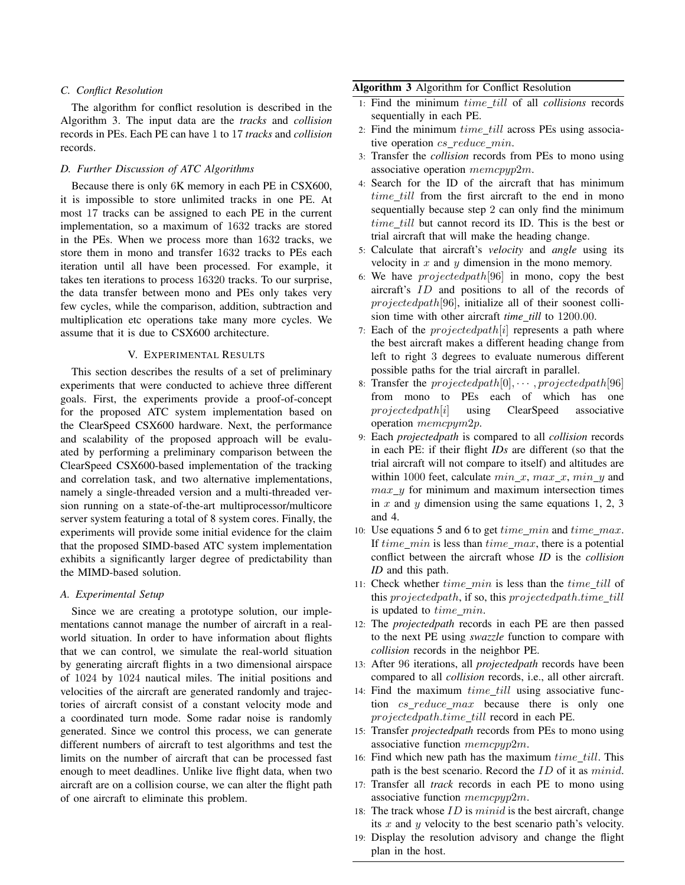## *C. Conflict Resolution*

The algorithm for conflict resolution is described in the Algorithm 3. The input data are the *tracks* and *collision* records in PEs. Each PE can have 1 to 17 *tracks* and *collision* records.

### *D. Further Discussion of ATC Algorithms*

Because there is only 6K memory in each PE in CSX600, it is impossible to store unlimited tracks in one PE. At most 17 tracks can be assigned to each PE in the current implementation, so a maximum of 1632 tracks are stored in the PEs. When we process more than 1632 tracks, we store them in mono and transfer 1632 tracks to PEs each iteration until all have been processed. For example, it takes ten iterations to process 16320 tracks. To our surprise, the data transfer between mono and PEs only takes very few cycles, while the comparison, addition, subtraction and multiplication etc operations take many more cycles. We assume that it is due to CSX600 architecture.

### V. EXPERIMENTAL RESULTS

This section describes the results of a set of preliminary experiments that were conducted to achieve three different goals. First, the experiments provide a proof-of-concept for the proposed ATC system implementation based on the ClearSpeed CSX600 hardware. Next, the performance and scalability of the proposed approach will be evaluated by performing a preliminary comparison between the ClearSpeed CSX600-based implementation of the tracking and correlation task, and two alternative implementations, namely a single-threaded version and a multi-threaded version running on a state-of-the-art multiprocessor/multicore server system featuring a total of 8 system cores. Finally, the experiments will provide some initial evidence for the claim that the proposed SIMD-based ATC system implementation exhibits a significantly larger degree of predictability than the MIMD-based solution.

#### *A. Experimental Setup*

Since we are creating a prototype solution, our implementations cannot manage the number of aircraft in a realworld situation. In order to have information about flights that we can control, we simulate the real-world situation by generating aircraft flights in a two dimensional airspace of 1024 by 1024 nautical miles. The initial positions and velocities of the aircraft are generated randomly and trajectories of aircraft consist of a constant velocity mode and a coordinated turn mode. Some radar noise is randomly generated. Since we control this process, we can generate different numbers of aircraft to test algorithms and test the limits on the number of aircraft that can be processed fast enough to meet deadlines. Unlike live flight data, when two aircraft are on a collision course, we can alter the flight path of one aircraft to eliminate this problem.

#### **Algorithm 3** Algorithm for Conflict Resolution

- 1: Find the minimum time till of all *collisions* records sequentially in each PE.
- 2: Find the minimum  $time\_till$  across PEs using associative operation  $cs\_reduce\_min$ .
- 3: Transfer the *collision* records from PEs to mono using associative operation  $memoryp2m$ .
- 4: Search for the ID of the aircraft that has minimum  $time\_till$  from the first aircraft to the end in mono sequentially because step 2 can only find the minimum time till but cannot record its ID. This is the best or trial aircraft that will make the heading change.
- 5: Calculate that aircraft's *velocity* and *angle* using its velocity in  $x$  and  $y$  dimension in the mono memory.
- 6: We have  $projected path[96]$  in mono, copy the best aircraft's ID and positions to all of the records of projectedpath[96], initialize all of their soonest collision time with other aircraft *time till* to 1200.00.
- 7: Each of the *projectedpath* $[i]$  represents a path where the best aircraft makes a different heading change from left to right 3 degrees to evaluate numerous different possible paths for the trial aircraft in parallel.
- 8: Transfer the *projectedpath* $[0], \cdots$ , *projectedpath* $[96]$ from mono to PEs each of which has one  $projected path[i]$  using ClearSpeed associative operation memcpym2p.
- 9: Each *projectedpath* is compared to all *collision* records in each PE: if their flight *IDs* are different (so that the trial aircraft will not compare to itself) and altitudes are within 1000 feet, calculate  $min\_x$ ,  $max\_x$ ,  $min\_y$  and  $max_y$  for minimum and maximum intersection times in  $x$  and  $y$  dimension using the same equations 1, 2, 3 and 4.
- 10: Use equations 5 and 6 to get *time min* and *time max*. If  $time\_min$  is less than  $time\_max$ , there is a potential conflict between the aircraft whose *ID* is the *collision ID* and this path.
- 11: Check whether  $time\_min$  is less than the  $time\_till$  of this projected path, if so, this projected path.time\_till is updated to time min.
- 12: The *projectedpath* records in each PE are then passed to the next PE using *swazzle* function to compare with *collision* records in the neighbor PE.
- 13: After 96 iterations, all *projectedpath* records have been compared to all *collision* records, i.e., all other aircraft.
- 14: Find the maximum  $time\_till$  using associative function cs\_reduce\_max because there is only one projectedpath.time\_till record in each PE.
- 15: Transfer *projectedpath* records from PEs to mono using associative function memcpyp2m.
- 16: Find which new path has the maximum time till. This path is the best scenario. Record the  $ID$  of it as  $minid$ .
- 17: Transfer all *track* records in each PE to mono using associative function memcpyp2m.
- 18: The track whose  $ID$  is  $minid$  is the best aircraft, change its  $x$  and  $y$  velocity to the best scenario path's velocity.
- 19: Display the resolution advisory and change the flight plan in the host.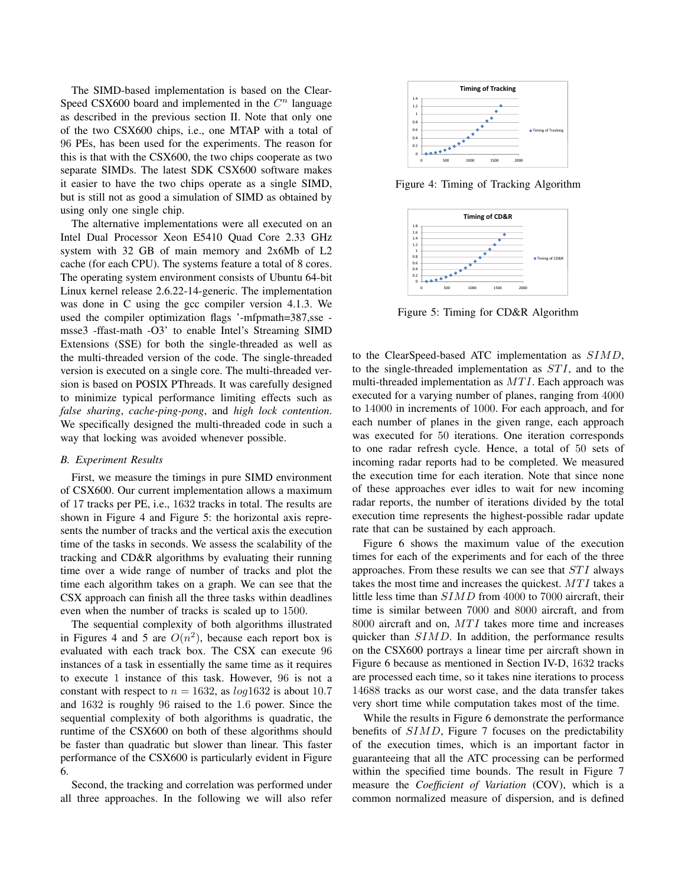The SIMD-based implementation is based on the Clear-Speed CSX600 board and implemented in the  $C<sup>n</sup>$  language as described in the previous section II. Note that only one of the two CSX600 chips, i.e., one MTAP with a total of 96 PEs, has been used for the experiments. The reason for this is that with the CSX600, the two chips cooperate as two separate SIMDs. The latest SDK CSX600 software makes it easier to have the two chips operate as a single SIMD, but is still not as good a simulation of SIMD as obtained by using only one single chip.

The alternative implementations were all executed on an Intel Dual Processor Xeon E5410 Quad Core 2.33 GHz system with 32 GB of main memory and 2x6Mb of L2 cache (for each CPU). The systems feature a total of 8 cores. The operating system environment consists of Ubuntu 64-bit Linux kernel release 2.6.22-14-generic. The implementation was done in C using the gcc compiler version 4.1.3. We used the compiler optimization flags '-mfpmath=387,sse msse3 -ffast-math -O3' to enable Intel's Streaming SIMD Extensions (SSE) for both the single-threaded as well as the multi-threaded version of the code. The single-threaded version is executed on a single core. The multi-threaded version is based on POSIX PThreads. It was carefully designed to minimize typical performance limiting effects such as *false sharing*, *cache-ping-pong*, and *high lock contention*. We specifically designed the multi-threaded code in such a way that locking was avoided whenever possible.

#### *B. Experiment Results*

First, we measure the timings in pure SIMD environment of CSX600. Our current implementation allows a maximum of 17 tracks per PE, i.e., 1632 tracks in total. The results are shown in Figure 4 and Figure 5: the horizontal axis represents the number of tracks and the vertical axis the execution time of the tasks in seconds. We assess the scalability of the tracking and CD&R algorithms by evaluating their running time over a wide range of number of tracks and plot the time each algorithm takes on a graph. We can see that the CSX approach can finish all the three tasks within deadlines even when the number of tracks is scaled up to 1500.

The sequential complexity of both algorithms illustrated in Figures 4 and 5 are  $O(n^2)$ , because each report box is evaluated with each track box. The CSX can execute 96 instances of a task in essentially the same time as it requires to execute 1 instance of this task. However, 96 is not a constant with respect to  $n = 1632$ , as  $log1632$  is about 10.7 and 1632 is roughly 96 raised to the 1.6 power. Since the sequential complexity of both algorithms is quadratic, the runtime of the CSX600 on both of these algorithms should be faster than quadratic but slower than linear. This faster performance of the CSX600 is particularly evident in Figure 6.

Second, the tracking and correlation was performed under all three approaches. In the following we will also refer



Figure 4: Timing of Tracking Algorithm



Figure 5: Timing for CD&R Algorithm

to the ClearSpeed-based ATC implementation as SIMD, to the single-threaded implementation as STI, and to the multi-threaded implementation as MTI. Each approach was executed for a varying number of planes, ranging from 4000 to 14000 in increments of 1000. For each approach, and for each number of planes in the given range, each approach was executed for 50 iterations. One iteration corresponds to one radar refresh cycle. Hence, a total of 50 sets of incoming radar reports had to be completed. We measured the execution time for each iteration. Note that since none of these approaches ever idles to wait for new incoming radar reports, the number of iterations divided by the total execution time represents the highest-possible radar update rate that can be sustained by each approach.

Figure 6 shows the maximum value of the execution times for each of the experiments and for each of the three approaches. From these results we can see that STI always takes the most time and increases the quickest. MTI takes a little less time than SIMD from 4000 to 7000 aircraft, their time is similar between 7000 and 8000 aircraft, and from 8000 aircraft and on, MTI takes more time and increases quicker than SIMD. In addition, the performance results on the CSX600 portrays a linear time per aircraft shown in Figure 6 because as mentioned in Section IV-D, 1632 tracks are processed each time, so it takes nine iterations to process 14688 tracks as our worst case, and the data transfer takes very short time while computation takes most of the time.

While the results in Figure 6 demonstrate the performance benefits of SIMD, Figure 7 focuses on the predictability of the execution times, which is an important factor in guaranteeing that all the ATC processing can be performed within the specified time bounds. The result in Figure 7 measure the *Coefficient of Variation* (COV), which is a common normalized measure of dispersion, and is defined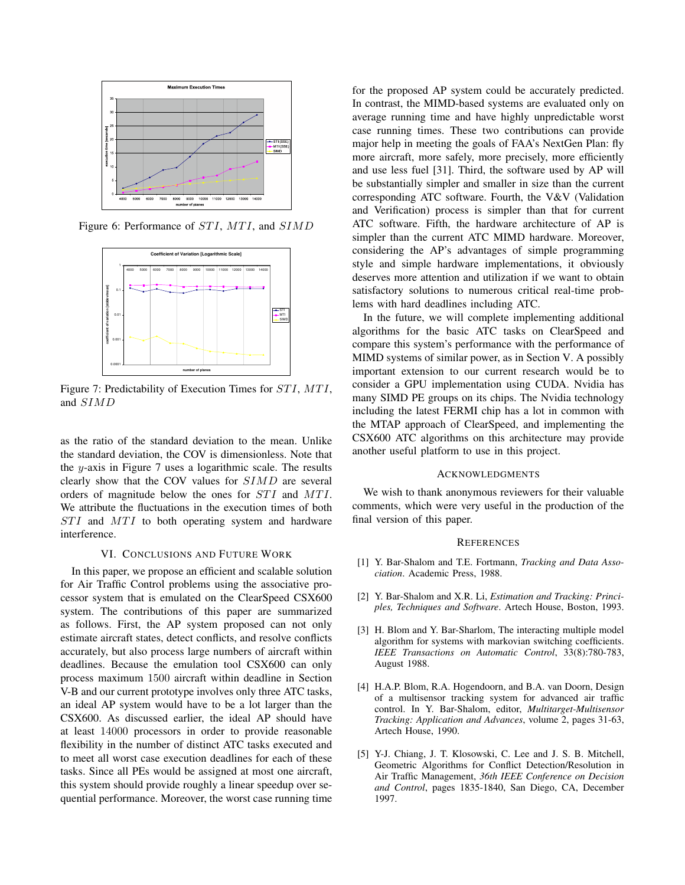

Figure 6: Performance of STI, MTI, and SIMD



Figure 7: Predictability of Execution Times for STI, MTI, and SIMD

as the ratio of the standard deviation to the mean. Unlike the standard deviation, the COV is dimensionless. Note that the  $y$ -axis in Figure 7 uses a logarithmic scale. The results clearly show that the COV values for SIMD are several orders of magnitude below the ones for STI and MTI. We attribute the fluctuations in the execution times of both STI and MTI to both operating system and hardware interference.

## VI. CONCLUSIONS AND FUTURE WORK

In this paper, we propose an efficient and scalable solution for Air Traffic Control problems using the associative processor system that is emulated on the ClearSpeed CSX600 system. The contributions of this paper are summarized as follows. First, the AP system proposed can not only estimate aircraft states, detect conflicts, and resolve conflicts accurately, but also process large numbers of aircraft within deadlines. Because the emulation tool CSX600 can only process maximum 1500 aircraft within deadline in Section V-B and our current prototype involves only three ATC tasks, an ideal AP system would have to be a lot larger than the CSX600. As discussed earlier, the ideal AP should have at least 14000 processors in order to provide reasonable flexibility in the number of distinct ATC tasks executed and to meet all worst case execution deadlines for each of these tasks. Since all PEs would be assigned at most one aircraft, this system should provide roughly a linear speedup over sequential performance. Moreover, the worst case running time

for the proposed AP system could be accurately predicted. In contrast, the MIMD-based systems are evaluated only on average running time and have highly unpredictable worst case running times. These two contributions can provide major help in meeting the goals of FAA's NextGen Plan: fly more aircraft, more safely, more precisely, more efficiently and use less fuel [31]. Third, the software used by AP will be substantially simpler and smaller in size than the current corresponding ATC software. Fourth, the V&V (Validation and Verification) process is simpler than that for current ATC software. Fifth, the hardware architecture of AP is simpler than the current ATC MIMD hardware. Moreover, considering the AP's advantages of simple programming style and simple hardware implementations, it obviously deserves more attention and utilization if we want to obtain satisfactory solutions to numerous critical real-time problems with hard deadlines including ATC.

In the future, we will complete implementing additional algorithms for the basic ATC tasks on ClearSpeed and compare this system's performance with the performance of MIMD systems of similar power, as in Section V. A possibly important extension to our current research would be to consider a GPU implementation using CUDA. Nvidia has many SIMD PE groups on its chips. The Nvidia technology including the latest FERMI chip has a lot in common with the MTAP approach of ClearSpeed, and implementing the CSX600 ATC algorithms on this architecture may provide another useful platform to use in this project.

#### ACKNOWLEDGMENTS

We wish to thank anonymous reviewers for their valuable comments, which were very useful in the production of the final version of this paper.

#### **REFERENCES**

- [1] Y. Bar-Shalom and T.E. Fortmann, *Tracking and Data Association*. Academic Press, 1988.
- [2] Y. Bar-Shalom and X.R. Li, *Estimation and Tracking: Principles, Techniques and Software*. Artech House, Boston, 1993.
- [3] H. Blom and Y. Bar-Sharlom, The interacting multiple model algorithm for systems with markovian switching coefficients. *IEEE Transactions on Automatic Control*, 33(8):780-783, August 1988.
- [4] H.A.P. Blom, R.A. Hogendoorn, and B.A. van Doorn, Design of a multisensor tracking system for advanced air traffic control. In Y. Bar-Shalom, editor, *Multitarget-Multisensor Tracking: Application and Advances*, volume 2, pages 31-63, Artech House, 1990.
- [5] Y-J. Chiang, J. T. Klosowski, C. Lee and J. S. B. Mitchell, Geometric Algorithms for Conflict Detection/Resolution in Air Traffic Management, *36th IEEE Conference on Decision and Control*, pages 1835-1840, San Diego, CA, December 1997.